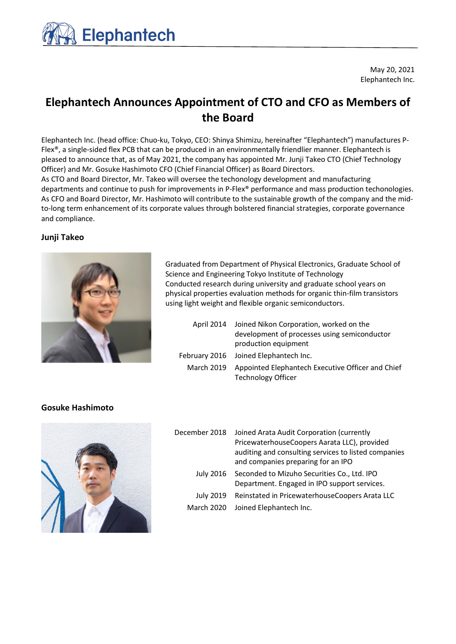

May 20, 2021 Elephantech Inc.

# **Elephantech Announces Appointment of CTO and CFO as Members of the Board**

Elephantech Inc. (head office: Chuo-ku, Tokyo, CEO: Shinya Shimizu, hereinafter "Elephantech") manufactures P-Flex®, a single-sided flex PCB that can be produced in an environmentally friendlier manner. Elephantech is pleased to announce that, as of May 2021, the company has appointed Mr. Junji Takeo CTO (Chief Technology Officer) and Mr. Gosuke Hashimoto CFO (Chief Financial Officer) as Board Directors.

As CTO and Board Director, Mr. Takeo will oversee the techonology development and manufacturing departments and continue to push for improvements in P-Flex® performance and mass production techonologies. As CFO and Board Director, Mr. Hashimoto will contribute to the sustainable growth of the company and the midto-long term enhancement of its corporate values through bolstered financial strategies, corporate governance and compliance.

## **Junji Takeo**



Graduated from Department of Physical Electronics, Graduate School of Science and Engineering Tokyo Institute of Technology Conducted research during university and graduate school years on physical properties evaluation methods for organic thin-film transistors using light weight and flexible organic semiconductors.

|            | April 2014 Joined Nikon Corporation, worked on the |  |
|------------|----------------------------------------------------|--|
|            | development of processes using semiconductor       |  |
|            | production equipment                               |  |
|            | February 2016 Joined Elephantech Inc.              |  |
| March 2019 | Appointed Elephantech Executive Officer and Chief  |  |
|            | <b>Technology Officer</b>                          |  |

## **Gosuke Hashimoto**



| December 2018     | Joined Arata Audit Corporation (currently<br>PricewaterhouseCoopers Aarata LLC), provided<br>auditing and consulting services to listed companies<br>and companies preparing for an IPO |
|-------------------|-----------------------------------------------------------------------------------------------------------------------------------------------------------------------------------------|
| <b>July 2016</b>  | Seconded to Mizuho Securities Co., Ltd. IPO<br>Department. Engaged in IPO support services.                                                                                             |
| <b>July 2019</b>  | Reinstated in PricewaterhouseCoopers Arata LLC                                                                                                                                          |
| <b>March 2020</b> | Joined Elephantech Inc.                                                                                                                                                                 |